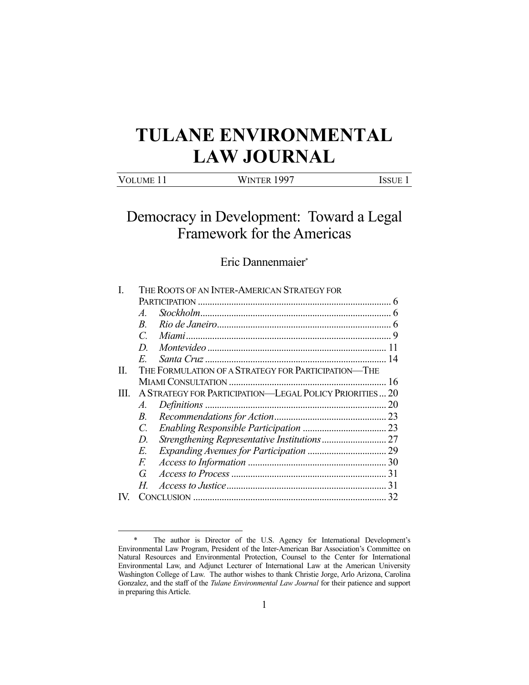# **TULANE ENVIRONMENTAL LAW JOURNAL**

| <b>VOLUME 11</b> | Winter 1997 | ISSUE |
|------------------|-------------|-------|
|                  |             |       |

# Democracy in Development: Toward a Legal Framework for the Americas

# Eric Dannenmaier\*

|    | THE ROOTS OF AN INTER-AMERICAN STRATEGY FOR              |                                                     |  |  |
|----|----------------------------------------------------------|-----------------------------------------------------|--|--|
|    |                                                          |                                                     |  |  |
|    | $\overline{A}$                                           |                                                     |  |  |
|    | $\overline{B}$                                           |                                                     |  |  |
|    | $\mathcal{C}$                                            |                                                     |  |  |
|    | D.                                                       |                                                     |  |  |
|    | E                                                        |                                                     |  |  |
| П. |                                                          | THE FORMULATION OF A STRATEGY FOR PARTICIPATION-THE |  |  |
|    |                                                          |                                                     |  |  |
| Ш  | A STRATEGY FOR PARTICIPATION—LEGAL POLICY PRIORITIES  20 |                                                     |  |  |
|    | A.                                                       |                                                     |  |  |
|    | $B_{\cdot}$                                              |                                                     |  |  |
|    | $\overline{C}$                                           |                                                     |  |  |
|    | D.                                                       |                                                     |  |  |
|    | E.                                                       |                                                     |  |  |
|    | F.                                                       |                                                     |  |  |
|    | G.                                                       |                                                     |  |  |
|    | H.                                                       |                                                     |  |  |
|    |                                                          |                                                     |  |  |
|    |                                                          |                                                     |  |  |

 <sup>\*</sup> The author is Director of the U.S. Agency for International Development's Environmental Law Program, President of the Inter-American Bar Association's Committee on Natural Resources and Environmental Protection, Counsel to the Center for International Environmental Law, and Adjunct Lecturer of International Law at the American University Washington College of Law. The author wishes to thank Christie Jorge, Arlo Arizona, Carolina Gonzalez, and the staff of the *Tulane Environmental Law Journal* for their patience and support in preparing this Article.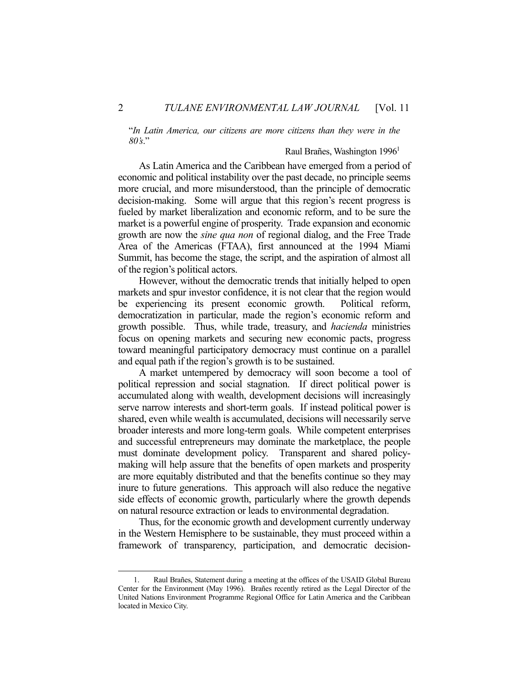"*In Latin America, our citizens are more citizens than they were in the 80's*."

#### Raul Brañes, Washington 19961

 As Latin America and the Caribbean have emerged from a period of economic and political instability over the past decade, no principle seems more crucial, and more misunderstood, than the principle of democratic decision-making. Some will argue that this region's recent progress is fueled by market liberalization and economic reform, and to be sure the market is a powerful engine of prosperity. Trade expansion and economic growth are now the *sine qua non* of regional dialog, and the Free Trade Area of the Americas (FTAA), first announced at the 1994 Miami Summit, has become the stage, the script, and the aspiration of almost all of the region's political actors.

 However, without the democratic trends that initially helped to open markets and spur investor confidence, it is not clear that the region would be experiencing its present economic growth. Political reform, democratization in particular, made the region's economic reform and growth possible. Thus, while trade, treasury, and *hacienda* ministries focus on opening markets and securing new economic pacts, progress toward meaningful participatory democracy must continue on a parallel and equal path if the region's growth is to be sustained.

 A market untempered by democracy will soon become a tool of political repression and social stagnation. If direct political power is accumulated along with wealth, development decisions will increasingly serve narrow interests and short-term goals. If instead political power is shared, even while wealth is accumulated, decisions will necessarily serve broader interests and more long-term goals. While competent enterprises and successful entrepreneurs may dominate the marketplace, the people must dominate development policy. Transparent and shared policymaking will help assure that the benefits of open markets and prosperity are more equitably distributed and that the benefits continue so they may inure to future generations. This approach will also reduce the negative side effects of economic growth, particularly where the growth depends on natural resource extraction or leads to environmental degradation.

 Thus, for the economic growth and development currently underway in the Western Hemisphere to be sustainable, they must proceed within a framework of transparency, participation, and democratic decision-

 <sup>1.</sup> Raul Brañes, Statement during a meeting at the offices of the USAID Global Bureau Center for the Environment (May 1996). Brañes recently retired as the Legal Director of the United Nations Environment Programme Regional Office for Latin America and the Caribbean located in Mexico City.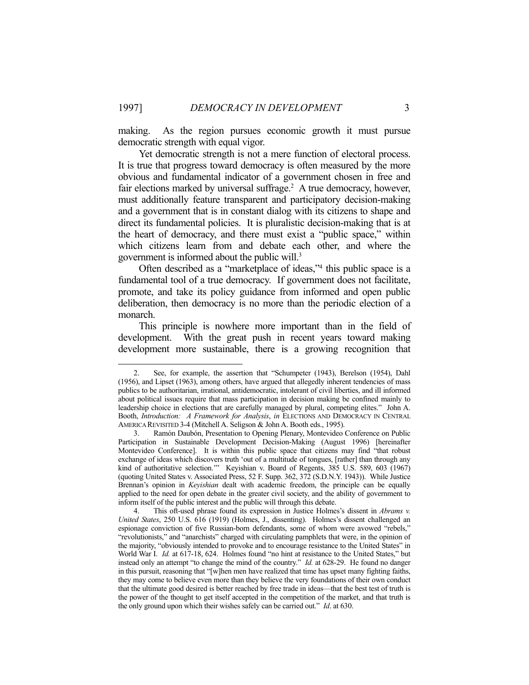making. As the region pursues economic growth it must pursue democratic strength with equal vigor.

 Yet democratic strength is not a mere function of electoral process. It is true that progress toward democracy is often measured by the more obvious and fundamental indicator of a government chosen in free and fair elections marked by universal suffrage.<sup>2</sup> A true democracy, however, must additionally feature transparent and participatory decision-making and a government that is in constant dialog with its citizens to shape and direct its fundamental policies. It is pluralistic decision-making that is at the heart of democracy, and there must exist a "public space," within which citizens learn from and debate each other, and where the government is informed about the public will.3

 Often described as a "marketplace of ideas,"4 this public space is a fundamental tool of a true democracy. If government does not facilitate, promote, and take its policy guidance from informed and open public deliberation, then democracy is no more than the periodic election of a monarch.

 This principle is nowhere more important than in the field of development. With the great push in recent years toward making development more sustainable, there is a growing recognition that

 <sup>2.</sup> See, for example, the assertion that "Schumpeter (1943), Berelson (1954), Dahl (1956), and Lipset (1963), among others, have argued that allegedly inherent tendencies of mass publics to be authoritarian, irrational, antidemocratic, intolerant of civil liberties, and ill informed about political issues require that mass participation in decision making be confined mainly to leadership choice in elections that are carefully managed by plural, competing elites." John A. Booth, *Introduction: A Framework for Analysis*, *in* ELECTIONS AND DEMOCRACY IN CENTRAL AMERICA REVISITED 3-4 (Mitchell A. Seligson & John A. Booth eds., 1995).

Ramón Daubón, Presentation to Opening Plenary, Montevideo Conference on Public Participation in Sustainable Development Decision-Making (August 1996) [hereinafter Montevideo Conference]. It is within this public space that citizens may find "that robust exchange of ideas which discovers truth 'out of a multitude of tongues, [rather] than through any kind of authoritative selection.'" Keyishian v. Board of Regents, 385 U.S. 589, 603 (1967) (quoting United States v. Associated Press, 52 F. Supp. 362, 372 (S.D.N.Y. 1943)). While Justice Brennan's opinion in *Keyishian* dealt with academic freedom, the principle can be equally applied to the need for open debate in the greater civil society, and the ability of government to inform itself of the public interest and the public will through this debate.

 <sup>4.</sup> This oft-used phrase found its expression in Justice Holmes's dissent in *Abrams v. United States*, 250 U.S. 616 (1919) (Holmes, J., dissenting). Holmes's dissent challenged an espionage conviction of five Russian-born defendants, some of whom were avowed "rebels," "revolutionists," and "anarchists" charged with circulating pamphlets that were, in the opinion of the majority, "obviously intended to provoke and to encourage resistance to the United States" in World War I. *Id.* at 617-18, 624. Holmes found "no hint at resistance to the United States," but instead only an attempt "to change the mind of the country." *Id.* at 628-29. He found no danger in this pursuit, reasoning that "[w]hen men have realized that time has upset many fighting faiths, they may come to believe even more than they believe the very foundations of their own conduct that the ultimate good desired is better reached by free trade in ideas—that the best test of truth is the power of the thought to get itself accepted in the competition of the market, and that truth is the only ground upon which their wishes safely can be carried out." *Id*. at 630.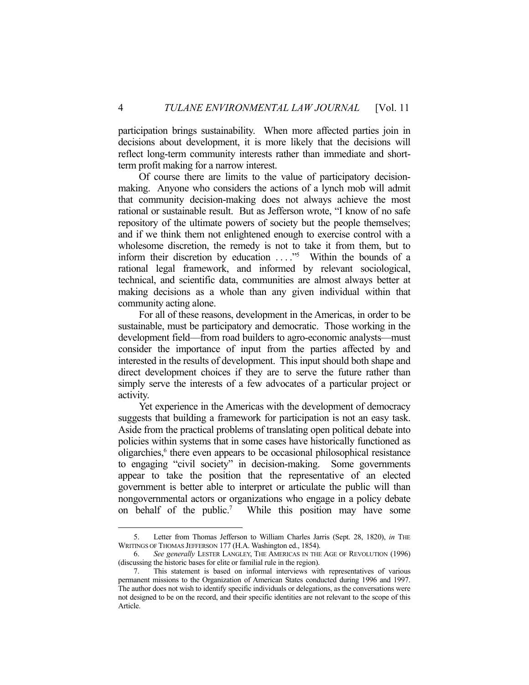participation brings sustainability. When more affected parties join in decisions about development, it is more likely that the decisions will reflect long-term community interests rather than immediate and shortterm profit making for a narrow interest.

 Of course there are limits to the value of participatory decisionmaking. Anyone who considers the actions of a lynch mob will admit that community decision-making does not always achieve the most rational or sustainable result. But as Jefferson wrote, "I know of no safe repository of the ultimate powers of society but the people themselves; and if we think them not enlightened enough to exercise control with a wholesome discretion, the remedy is not to take it from them, but to inform their discretion by education ...."<sup>5</sup> Within the bounds of a rational legal framework, and informed by relevant sociological, technical, and scientific data, communities are almost always better at making decisions as a whole than any given individual within that community acting alone.

 For all of these reasons, development in the Americas, in order to be sustainable, must be participatory and democratic. Those working in the development field—from road builders to agro-economic analysts—must consider the importance of input from the parties affected by and interested in the results of development. This input should both shape and direct development choices if they are to serve the future rather than simply serve the interests of a few advocates of a particular project or activity.

 Yet experience in the Americas with the development of democracy suggests that building a framework for participation is not an easy task. Aside from the practical problems of translating open political debate into policies within systems that in some cases have historically functioned as oligarchies,<sup>6</sup> there even appears to be occasional philosophical resistance to engaging "civil society" in decision-making. Some governments appear to take the position that the representative of an elected government is better able to interpret or articulate the public will than nongovernmental actors or organizations who engage in a policy debate on behalf of the public.<sup>7</sup> While this position may have some

 <sup>5.</sup> Letter from Thomas Jefferson to William Charles Jarris (Sept. 28, 1820), *in* THE WRITINGS OF THOMAS JEFFERSON 177 (H.A. Washington ed., 1854).

 <sup>6.</sup> *See generally* LESTER LANGLEY, THE AMERICAS IN THE AGE OF REVOLUTION (1996) (discussing the historic bases for elite or familial rule in the region).

 <sup>7.</sup> This statement is based on informal interviews with representatives of various permanent missions to the Organization of American States conducted during 1996 and 1997. The author does not wish to identify specific individuals or delegations, as the conversations were not designed to be on the record, and their specific identities are not relevant to the scope of this Article.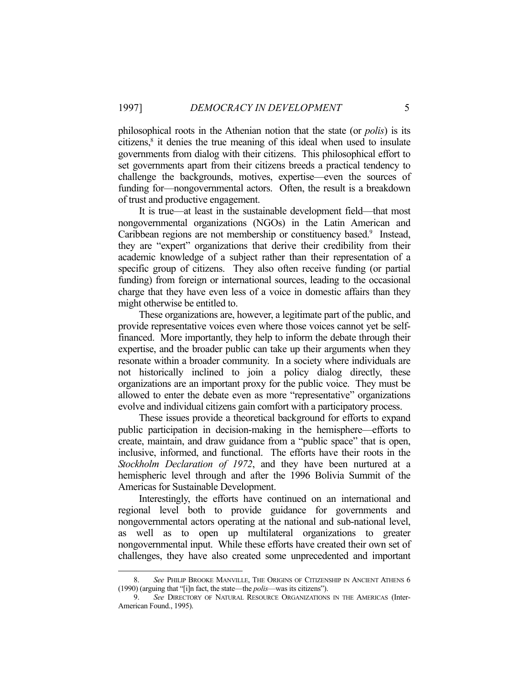philosophical roots in the Athenian notion that the state (or *polis*) is its citizens,<sup>8</sup> it denies the true meaning of this ideal when used to insulate governments from dialog with their citizens. This philosophical effort to set governments apart from their citizens breeds a practical tendency to challenge the backgrounds, motives, expertise—even the sources of funding for—nongovernmental actors. Often, the result is a breakdown of trust and productive engagement.

 It is true—at least in the sustainable development field—that most nongovernmental organizations (NGOs) in the Latin American and Caribbean regions are not membership or constituency based.<sup>9</sup> Instead, they are "expert" organizations that derive their credibility from their academic knowledge of a subject rather than their representation of a specific group of citizens. They also often receive funding (or partial funding) from foreign or international sources, leading to the occasional charge that they have even less of a voice in domestic affairs than they might otherwise be entitled to.

 These organizations are, however, a legitimate part of the public, and provide representative voices even where those voices cannot yet be selffinanced. More importantly, they help to inform the debate through their expertise, and the broader public can take up their arguments when they resonate within a broader community. In a society where individuals are not historically inclined to join a policy dialog directly, these organizations are an important proxy for the public voice. They must be allowed to enter the debate even as more "representative" organizations evolve and individual citizens gain comfort with a participatory process.

 These issues provide a theoretical background for efforts to expand public participation in decision-making in the hemisphere—efforts to create, maintain, and draw guidance from a "public space" that is open, inclusive, informed, and functional. The efforts have their roots in the *Stockholm Declaration of 1972*, and they have been nurtured at a hemispheric level through and after the 1996 Bolivia Summit of the Americas for Sustainable Development.

 Interestingly, the efforts have continued on an international and regional level both to provide guidance for governments and nongovernmental actors operating at the national and sub-national level, as well as to open up multilateral organizations to greater nongovernmental input. While these efforts have created their own set of challenges, they have also created some unprecedented and important

 <sup>8.</sup> *See* PHILIP BROOKE MANVILLE, THE ORIGINS OF CITIZENSHIP IN ANCIENT ATHENS 6 (1990) (arguing that "[i]n fact, the state—the *polis*—was its citizens").

 <sup>9.</sup> *See* DIRECTORY OF NATURAL RESOURCE ORGANIZATIONS IN THE AMERICAS (Inter-American Found., 1995).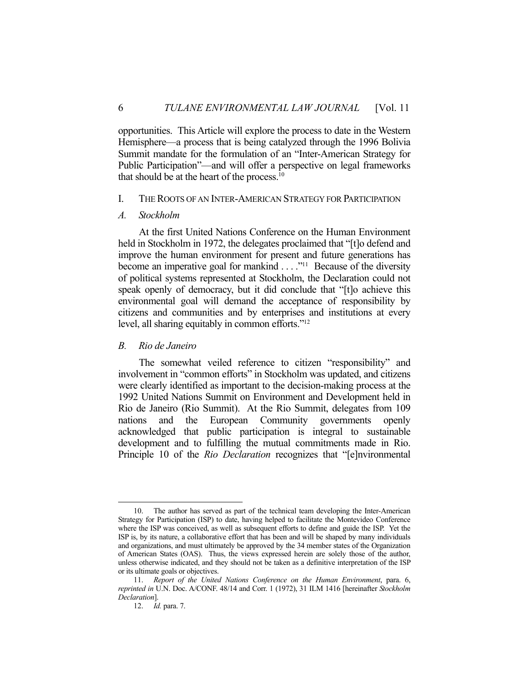opportunities. This Article will explore the process to date in the Western Hemisphere—a process that is being catalyzed through the 1996 Bolivia Summit mandate for the formulation of an "Inter-American Strategy for Public Participation"—and will offer a perspective on legal frameworks that should be at the heart of the process.10

#### I. THE ROOTS OF AN INTER-AMERICAN STRATEGY FOR PARTICIPATION

#### *A. Stockholm*

 At the first United Nations Conference on the Human Environment held in Stockholm in 1972, the delegates proclaimed that "[t]o defend and improve the human environment for present and future generations has become an imperative goal for mankind  $\dots$ <sup>11</sup> Because of the diversity of political systems represented at Stockholm, the Declaration could not speak openly of democracy, but it did conclude that "[t]o achieve this environmental goal will demand the acceptance of responsibility by citizens and communities and by enterprises and institutions at every level, all sharing equitably in common efforts."<sup>12</sup>

#### *B. Rio de Janeiro*

 The somewhat veiled reference to citizen "responsibility" and involvement in "common efforts" in Stockholm was updated, and citizens were clearly identified as important to the decision-making process at the 1992 United Nations Summit on Environment and Development held in Rio de Janeiro (Rio Summit). At the Rio Summit, delegates from 109 nations and the European Community governments openly acknowledged that public participation is integral to sustainable development and to fulfilling the mutual commitments made in Rio. Principle 10 of the *Rio Declaration* recognizes that "[e]nvironmental

The author has served as part of the technical team developing the Inter-American Strategy for Participation (ISP) to date, having helped to facilitate the Montevideo Conference where the ISP was conceived, as well as subsequent efforts to define and guide the ISP. Yet the ISP is, by its nature, a collaborative effort that has been and will be shaped by many individuals and organizations, and must ultimately be approved by the 34 member states of the Organization of American States (OAS). Thus, the views expressed herein are solely those of the author, unless otherwise indicated, and they should not be taken as a definitive interpretation of the ISP or its ultimate goals or objectives.

 <sup>11.</sup> *Report of the United Nations Conference on the Human Environment*, para. 6, *reprinted in* U.N. Doc. A/CONF. 48/14 and Corr. 1 (1972), 31 ILM 1416 [hereinafter *Stockholm Declaration*].

 <sup>12.</sup> *Id.* para. 7.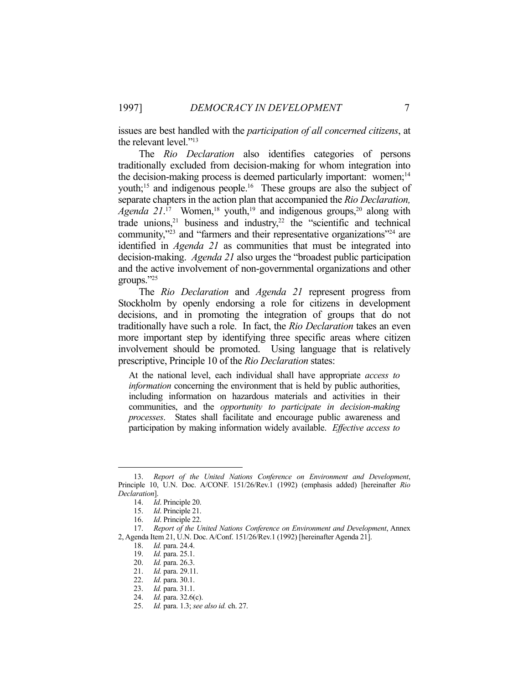issues are best handled with the *participation of all concerned citizens*, at the relevant level."13

 The *Rio Declaration* also identifies categories of persons traditionally excluded from decision-making for whom integration into the decision-making process is deemed particularly important: women;<sup>14</sup> youth;<sup>15</sup> and indigenous people.<sup>16</sup> These groups are also the subject of separate chapters in the action plan that accompanied the *Rio Declaration, Agenda 21*<sup>17</sup> Women,<sup>18</sup> youth,<sup>19</sup> and indigenous groups,<sup>20</sup> along with trade unions,<sup>21</sup> business and industry,<sup>22</sup> the "scientific and technical community,"23 and "farmers and their representative organizations"24 are identified in *Agenda 21* as communities that must be integrated into decision-making. *Agenda 21* also urges the "broadest public participation and the active involvement of non-governmental organizations and other groups."25

 The *Rio Declaration* and *Agenda 21* represent progress from Stockholm by openly endorsing a role for citizens in development decisions, and in promoting the integration of groups that do not traditionally have such a role. In fact, the *Rio Declaration* takes an even more important step by identifying three specific areas where citizen involvement should be promoted. Using language that is relatively prescriptive, Principle 10 of the *Rio Declaration* states:

At the national level, each individual shall have appropriate *access to information* concerning the environment that is held by public authorities, including information on hazardous materials and activities in their communities, and the *opportunity to participate in decision-making processes*. States shall facilitate and encourage public awareness and participation by making information widely available. *Effective access to* 

 <sup>13.</sup> *Report of the United Nations Conference on Environment and Development*, Principle 10, U.N. Doc. A/CONF. 151/26/Rev.1 (1992) (emphasis added) [hereinafter *Rio Declaration*].

 <sup>14.</sup> *Id*. Principle 20.

 <sup>15.</sup> *Id*. Principle 21.

 <sup>16.</sup> *Id*. Principle 22.

 <sup>17.</sup> *Report of the United Nations Conference on Environment and Development*, Annex 2, Agenda Item 21, U.N. Doc. A/Conf. 151/26/Rev.1 (1992) [hereinafter Agenda 21].

 <sup>18.</sup> *Id.* para. 24.4.

 <sup>19.</sup> *Id.* para. 25.1.

 <sup>20.</sup> *Id.* para. 26.3.

 <sup>21.</sup> *Id.* para. 29.11.

 <sup>22.</sup> *Id.* para. 30.1.

 <sup>23.</sup> *Id.* para. 31.1.

 <sup>24.</sup> *Id.* para. 32.6(c).

 <sup>25.</sup> *Id.* para. 1.3; *see also id.* ch. 27.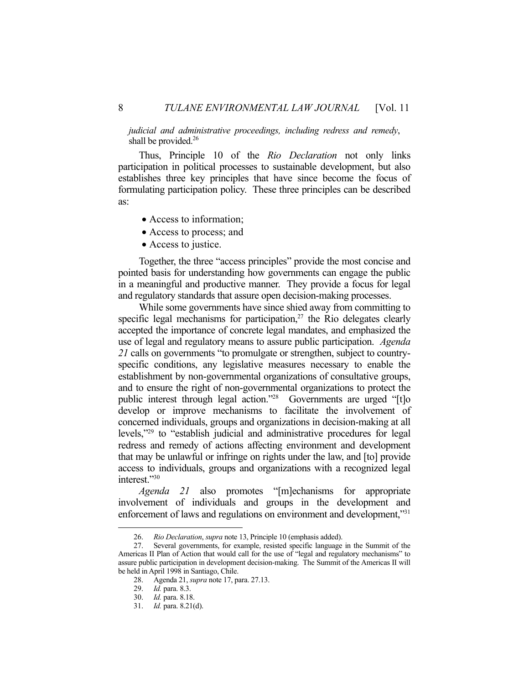*judicial and administrative proceedings, including redress and remedy*, shall be provided. $26$ 

 Thus, Principle 10 of the *Rio Declaration* not only links participation in political processes to sustainable development, but also establishes three key principles that have since become the focus of formulating participation policy. These three principles can be described as:

- Access to information;
- Access to process; and
- Access to justice.

 Together, the three "access principles" provide the most concise and pointed basis for understanding how governments can engage the public in a meaningful and productive manner. They provide a focus for legal and regulatory standards that assure open decision-making processes.

 While some governments have since shied away from committing to specific legal mechanisms for participation, $27$  the Rio delegates clearly accepted the importance of concrete legal mandates, and emphasized the use of legal and regulatory means to assure public participation. *Agenda 21* calls on governments "to promulgate or strengthen, subject to countryspecific conditions, any legislative measures necessary to enable the establishment by non-governmental organizations of consultative groups, and to ensure the right of non-governmental organizations to protect the public interest through legal action."28 Governments are urged "[t]o develop or improve mechanisms to facilitate the involvement of concerned individuals, groups and organizations in decision-making at all levels,"29 to "establish judicial and administrative procedures for legal redress and remedy of actions affecting environment and development that may be unlawful or infringe on rights under the law, and [to] provide access to individuals, groups and organizations with a recognized legal interest."30

*Agenda 21* also promotes "[m]echanisms for appropriate involvement of individuals and groups in the development and enforcement of laws and regulations on environment and development,"<sup>31</sup>

 <sup>26.</sup> *Rio Declaration*, *supra* note 13, Principle 10 (emphasis added).

 <sup>27.</sup> Several governments, for example, resisted specific language in the Summit of the Americas II Plan of Action that would call for the use of "legal and regulatory mechanisms" to assure public participation in development decision-making. The Summit of the Americas II will be held in April 1998 in Santiago, Chile.

 <sup>28.</sup> Agenda 21, *supra* note 17, para. 27.13.

 <sup>29.</sup> *Id.* para. 8.3.

 <sup>30.</sup> *Id.* para. 8.18.

 <sup>31.</sup> *Id.* para. 8.21(d).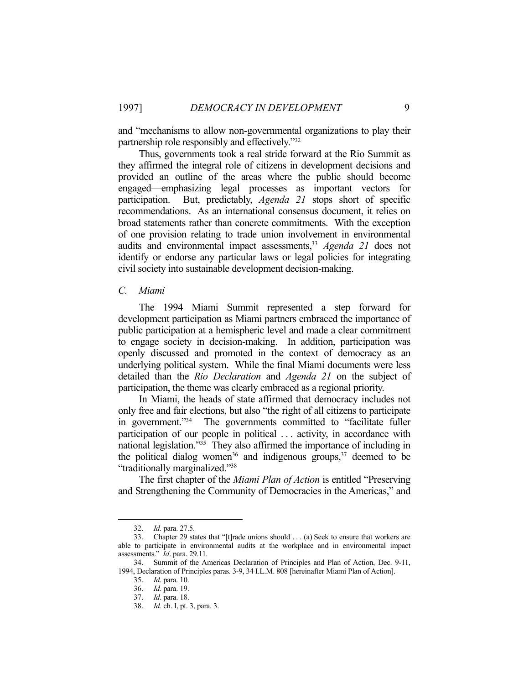and "mechanisms to allow non-governmental organizations to play their partnership role responsibly and effectively."32

 Thus, governments took a real stride forward at the Rio Summit as they affirmed the integral role of citizens in development decisions and provided an outline of the areas where the public should become engaged—emphasizing legal processes as important vectors for participation. But, predictably, *Agenda 21* stops short of specific recommendations. As an international consensus document, it relies on broad statements rather than concrete commitments. With the exception of one provision relating to trade union involvement in environmental audits and environmental impact assessments,<sup>33</sup> *Agenda 21* does not identify or endorse any particular laws or legal policies for integrating civil society into sustainable development decision-making.

#### *C. Miami*

 The 1994 Miami Summit represented a step forward for development participation as Miami partners embraced the importance of public participation at a hemispheric level and made a clear commitment to engage society in decision-making. In addition, participation was openly discussed and promoted in the context of democracy as an underlying political system. While the final Miami documents were less detailed than the *Rio Declaration* and *Agenda 21* on the subject of participation, the theme was clearly embraced as a regional priority.

 In Miami, the heads of state affirmed that democracy includes not only free and fair elections, but also "the right of all citizens to participate in government."34 The governments committed to "facilitate fuller participation of our people in political ... activity, in accordance with national legislation."35 They also affirmed the importance of including in the political dialog women<sup>36</sup> and indigenous groups,<sup>37</sup> deemed to be "traditionally marginalized."38

 The first chapter of the *Miami Plan of Action* is entitled "Preserving and Strengthening the Community of Democracies in the Americas," and

 <sup>32.</sup> *Id.* para. 27.5.

 <sup>33.</sup> Chapter 29 states that "[t]rade unions should . . . (a) Seek to ensure that workers are able to participate in environmental audits at the workplace and in environmental impact assessments." *Id*. para. 29.11.

 <sup>34.</sup> Summit of the Americas Declaration of Principles and Plan of Action, Dec. 9-11, 1994, Declaration of Principles paras. 3-9, 34 I.L.M. 808 [hereinafter Miami Plan of Action].

 <sup>35.</sup> *Id*. para. 10.

 <sup>36.</sup> *Id*. para. 19.

 <sup>37.</sup> *Id*. para. 18.

 <sup>38.</sup> *Id.* ch. I, pt. 3, para. 3.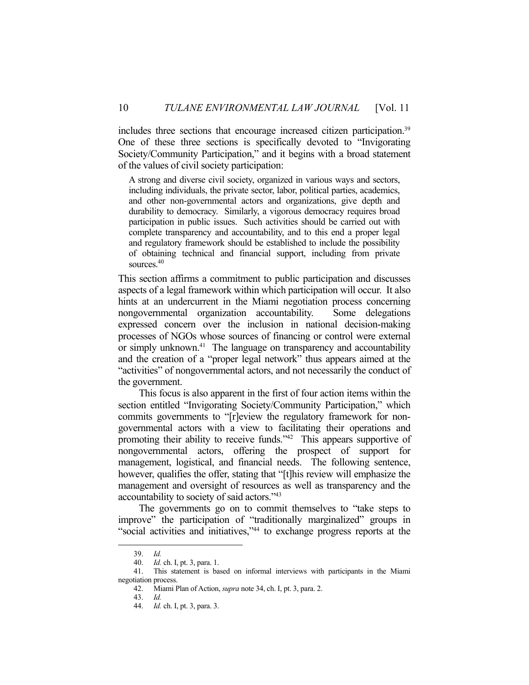includes three sections that encourage increased citizen participation.39 One of these three sections is specifically devoted to "Invigorating Society/Community Participation," and it begins with a broad statement of the values of civil society participation:

A strong and diverse civil society, organized in various ways and sectors, including individuals, the private sector, labor, political parties, academics, and other non-governmental actors and organizations, give depth and durability to democracy. Similarly, a vigorous democracy requires broad participation in public issues. Such activities should be carried out with complete transparency and accountability, and to this end a proper legal and regulatory framework should be established to include the possibility of obtaining technical and financial support, including from private sources.40

This section affirms a commitment to public participation and discusses aspects of a legal framework within which participation will occur. It also hints at an undercurrent in the Miami negotiation process concerning nongovernmental organization accountability. Some delegations expressed concern over the inclusion in national decision-making processes of NGOs whose sources of financing or control were external or simply unknown.<sup>41</sup> The language on transparency and accountability and the creation of a "proper legal network" thus appears aimed at the "activities" of nongovernmental actors, and not necessarily the conduct of the government.

 This focus is also apparent in the first of four action items within the section entitled "Invigorating Society/Community Participation," which commits governments to "[r]eview the regulatory framework for nongovernmental actors with a view to facilitating their operations and promoting their ability to receive funds."42 This appears supportive of nongovernmental actors, offering the prospect of support for management, logistical, and financial needs. The following sentence, however, qualifies the offer, stating that "[t]his review will emphasize the management and oversight of resources as well as transparency and the accountability to society of said actors."43

 The governments go on to commit themselves to "take steps to improve" the participation of "traditionally marginalized" groups in "social activities and initiatives,"44 to exchange progress reports at the

 <sup>39.</sup> *Id.* 

 <sup>40.</sup> *Id.* ch. I, pt. 3, para. 1.

 <sup>41.</sup> This statement is based on informal interviews with participants in the Miami negotiation process.

 <sup>42.</sup> Miami Plan of Action, *supra* note 34, ch. I, pt. 3, para. 2.

 <sup>43.</sup> *Id.*

 <sup>44.</sup> *Id.* ch. I, pt. 3, para. 3.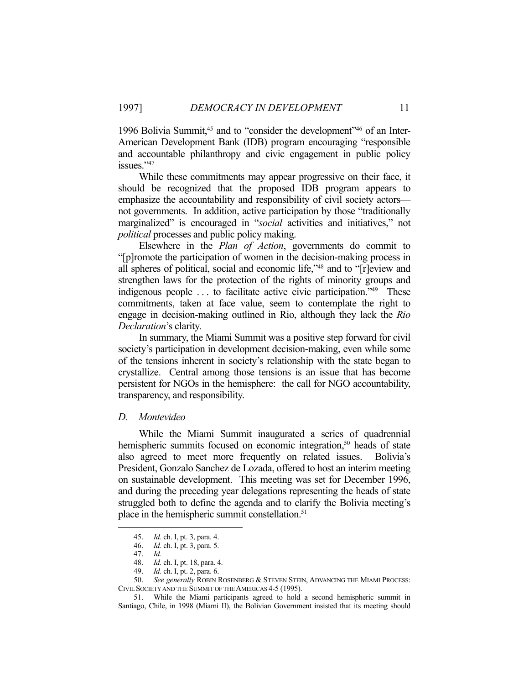1996 Bolivia Summit,<sup>45</sup> and to "consider the development"<sup>46</sup> of an Inter-American Development Bank (IDB) program encouraging "responsible and accountable philanthropy and civic engagement in public policy issues."<sup>47</sup>

 While these commitments may appear progressive on their face, it should be recognized that the proposed IDB program appears to emphasize the accountability and responsibility of civil society actors not governments. In addition, active participation by those "traditionally marginalized" is encouraged in "*social* activities and initiatives," not *political* processes and public policy making.

 Elsewhere in the *Plan of Action*, governments do commit to "[p]romote the participation of women in the decision-making process in all spheres of political, social and economic life,"48 and to "[r]eview and strengthen laws for the protection of the rights of minority groups and indigenous people . . . to facilitate active civic participation."49 These commitments, taken at face value, seem to contemplate the right to engage in decision-making outlined in Rio, although they lack the *Rio Declaration*'s clarity.

 In summary, the Miami Summit was a positive step forward for civil society's participation in development decision-making, even while some of the tensions inherent in society's relationship with the state began to crystallize. Central among those tensions is an issue that has become persistent for NGOs in the hemisphere: the call for NGO accountability, transparency, and responsibility.

#### *D. Montevideo*

 While the Miami Summit inaugurated a series of quadrennial hemispheric summits focused on economic integration,<sup>50</sup> heads of state also agreed to meet more frequently on related issues. Bolivia's President, Gonzalo Sanchez de Lozada, offered to host an interim meeting on sustainable development. This meeting was set for December 1996, and during the preceding year delegations representing the heads of state struggled both to define the agenda and to clarify the Bolivia meeting's place in the hemispheric summit constellation.<sup>51</sup>

 <sup>45.</sup> *Id.* ch. I, pt. 3, para. 4.

 <sup>46.</sup> *Id.* ch. I, pt. 3, para. 5.

 <sup>47.</sup> *Id.*

 <sup>48.</sup> *Id.* ch. I, pt. 18, para. 4.

 <sup>49.</sup> *Id.* ch. I, pt. 2, para. 6.

<sup>50.</sup> *See generally* ROBIN ROSENBERG & STEVEN STEIN, ADVANCING THE MIAMI PROCESS: CIVIL SOCIETY AND THE SUMMIT OF THE AMERICAS 4-5 (1995).

 <sup>51.</sup> While the Miami participants agreed to hold a second hemispheric summit in Santiago, Chile, in 1998 (Miami II), the Bolivian Government insisted that its meeting should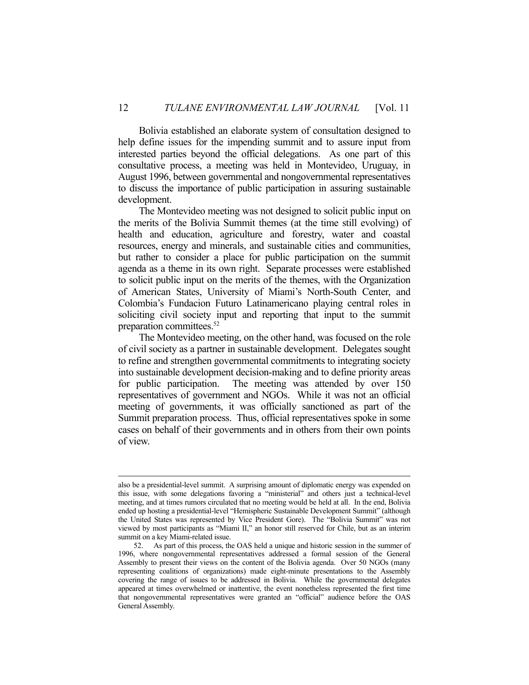Bolivia established an elaborate system of consultation designed to help define issues for the impending summit and to assure input from interested parties beyond the official delegations. As one part of this consultative process, a meeting was held in Montevideo, Uruguay, in August 1996, between governmental and nongovernmental representatives to discuss the importance of public participation in assuring sustainable development.

 The Montevideo meeting was not designed to solicit public input on the merits of the Bolivia Summit themes (at the time still evolving) of health and education, agriculture and forestry, water and coastal resources, energy and minerals, and sustainable cities and communities, but rather to consider a place for public participation on the summit agenda as a theme in its own right. Separate processes were established to solicit public input on the merits of the themes, with the Organization of American States, University of Miami's North-South Center, and Colombia's Fundacion Futuro Latinamericano playing central roles in soliciting civil society input and reporting that input to the summit preparation committees.52

 The Montevideo meeting, on the other hand, was focused on the role of civil society as a partner in sustainable development. Delegates sought to refine and strengthen governmental commitments to integrating society into sustainable development decision-making and to define priority areas for public participation. The meeting was attended by over 150 representatives of government and NGOs. While it was not an official meeting of governments, it was officially sanctioned as part of the Summit preparation process. Thus, official representatives spoke in some cases on behalf of their governments and in others from their own points of view.

also be a presidential-level summit. A surprising amount of diplomatic energy was expended on this issue, with some delegations favoring a "ministerial" and others just a technical-level meeting, and at times rumors circulated that no meeting would be held at all. In the end, Bolivia ended up hosting a presidential-level "Hemispheric Sustainable Development Summit" (although the United States was represented by Vice President Gore). The "Bolivia Summit" was not viewed by most participants as "Miami II," an honor still reserved for Chile, but as an interim summit on a key Miami-related issue.

 <sup>52.</sup> As part of this process, the OAS held a unique and historic session in the summer of 1996, where nongovernmental representatives addressed a formal session of the General Assembly to present their views on the content of the Bolivia agenda. Over 50 NGOs (many representing coalitions of organizations) made eight-minute presentations to the Assembly covering the range of issues to be addressed in Bolivia. While the governmental delegates appeared at times overwhelmed or inattentive, the event nonetheless represented the first time that nongovernmental representatives were granted an "official" audience before the OAS General Assembly.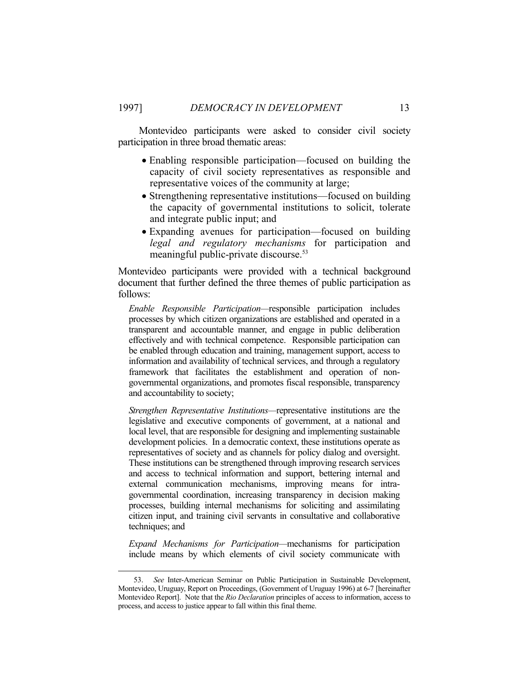Montevideo participants were asked to consider civil society participation in three broad thematic areas:

- Enabling responsible participation—focused on building the capacity of civil society representatives as responsible and representative voices of the community at large;
- Strengthening representative institutions—focused on building the capacity of governmental institutions to solicit, tolerate and integrate public input; and
- Expanding avenues for participation—focused on building *legal and regulatory mechanisms* for participation and meaningful public-private discourse.<sup>53</sup>

Montevideo participants were provided with a technical background document that further defined the three themes of public participation as follows:

*Enable Responsible Participation—*responsible participation includes processes by which citizen organizations are established and operated in a transparent and accountable manner, and engage in public deliberation effectively and with technical competence. Responsible participation can be enabled through education and training, management support, access to information and availability of technical services, and through a regulatory framework that facilitates the establishment and operation of nongovernmental organizations, and promotes fiscal responsible, transparency and accountability to society;

*Strengthen Representative Institutions—*representative institutions are the legislative and executive components of government, at a national and local level, that are responsible for designing and implementing sustainable development policies. In a democratic context, these institutions operate as representatives of society and as channels for policy dialog and oversight. These institutions can be strengthened through improving research services and access to technical information and support, bettering internal and external communication mechanisms, improving means for intragovernmental coordination, increasing transparency in decision making processes, building internal mechanisms for soliciting and assimilating citizen input, and training civil servants in consultative and collaborative techniques; and

*Expand Mechanisms for Participation—*mechanisms for participation include means by which elements of civil society communicate with

 <sup>53.</sup> *See* Inter-American Seminar on Public Participation in Sustainable Development, Montevideo, Uruguay, Report on Proceedings, (Government of Uruguay 1996) at 6-7 [hereinafter Montevideo Report]. Note that the *Rio Declaration* principles of access to information, access to process, and access to justice appear to fall within this final theme.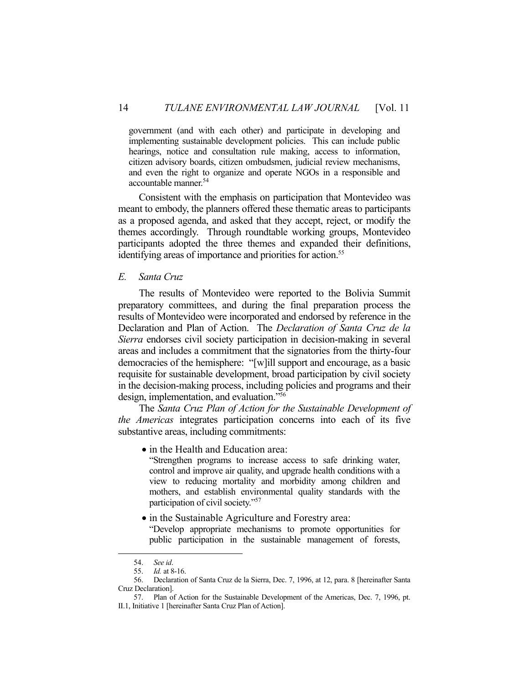government (and with each other) and participate in developing and implementing sustainable development policies. This can include public hearings, notice and consultation rule making, access to information, citizen advisory boards, citizen ombudsmen, judicial review mechanisms, and even the right to organize and operate NGOs in a responsible and accountable manner.54

 Consistent with the emphasis on participation that Montevideo was meant to embody, the planners offered these thematic areas to participants as a proposed agenda, and asked that they accept, reject, or modify the themes accordingly. Through roundtable working groups, Montevideo participants adopted the three themes and expanded their definitions, identifying areas of importance and priorities for action.<sup>55</sup>

### *E. Santa Cruz*

 The results of Montevideo were reported to the Bolivia Summit preparatory committees, and during the final preparation process the results of Montevideo were incorporated and endorsed by reference in the Declaration and Plan of Action. The *Declaration of Santa Cruz de la Sierra* endorses civil society participation in decision-making in several areas and includes a commitment that the signatories from the thirty-four democracies of the hemisphere: "[w]ill support and encourage, as a basic requisite for sustainable development, broad participation by civil society in the decision-making process, including policies and programs and their design, implementation, and evaluation."56

 The *Santa Cruz Plan of Action for the Sustainable Development of the Americas* integrates participation concerns into each of its five substantive areas, including commitments:

• in the Health and Education area:

"Strengthen programs to increase access to safe drinking water, control and improve air quality, and upgrade health conditions with a view to reducing mortality and morbidity among children and mothers, and establish environmental quality standards with the participation of civil society."57

• in the Sustainable Agriculture and Forestry area:

"Develop appropriate mechanisms to promote opportunities for public participation in the sustainable management of forests,

 <sup>54.</sup> *See id*.

 <sup>55.</sup> *Id.* at 8-16.

 <sup>56.</sup> Declaration of Santa Cruz de la Sierra, Dec. 7, 1996, at 12, para. 8 [hereinafter Santa Cruz Declaration].

 <sup>57.</sup> Plan of Action for the Sustainable Development of the Americas, Dec. 7, 1996, pt. II.1, Initiative 1 [hereinafter Santa Cruz Plan of Action].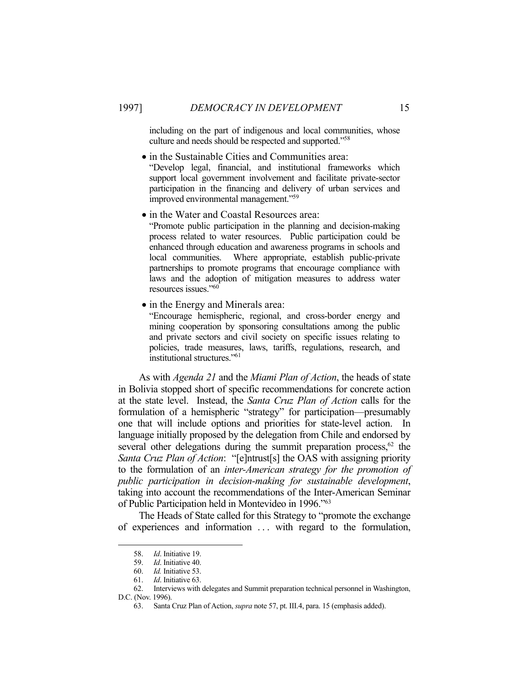including on the part of indigenous and local communities, whose culture and needs should be respected and supported."<sup>58</sup>

- $\bullet$  in the Sustainable Cities and Communities area: "Develop legal, financial, and institutional frameworks which support local government involvement and facilitate private-sector participation in the financing and delivery of urban services and improved environmental management."59
- $\bullet$  in the Water and Coastal Resources area: "Promote public participation in the planning and decision-making process related to water resources. Public participation could be enhanced through education and awareness programs in schools and local communities. Where appropriate, establish public-private partnerships to promote programs that encourage compliance with laws and the adoption of mitigation measures to address water resources issues."60
- in the Energy and Minerals area:

"Encourage hemispheric, regional, and cross-border energy and mining cooperation by sponsoring consultations among the public and private sectors and civil society on specific issues relating to policies, trade measures, laws, tariffs, regulations, research, and institutional structures."61

 As with *Agenda 21* and the *Miami Plan of Action*, the heads of state in Bolivia stopped short of specific recommendations for concrete action at the state level. Instead, the *Santa Cruz Plan of Action* calls for the formulation of a hemispheric "strategy" for participation—presumably one that will include options and priorities for state-level action. In language initially proposed by the delegation from Chile and endorsed by several other delegations during the summit preparation process,<sup>62</sup> the *Santa Cruz Plan of Action*: "[e]ntrust[s] the OAS with assigning priority to the formulation of an *inter-American strategy for the promotion of public participation in decision-making for sustainable development*, taking into account the recommendations of the Inter-American Seminar of Public Participation held in Montevideo in 1996."63

 The Heads of State called for this Strategy to "promote the exchange of experiences and information ... with regard to the formulation,

 <sup>58.</sup> *Id*. Initiative 19.

 <sup>59.</sup> *Id*. Initiative 40.

 <sup>60.</sup> *Id.* Initiative 53.

 <sup>61.</sup> *Id*. Initiative 63.

 <sup>62.</sup> Interviews with delegates and Summit preparation technical personnel in Washington, D.C. (Nov. 1996).

 <sup>63.</sup> Santa Cruz Plan of Action, *supra* note 57, pt. III.4, para. 15 (emphasis added).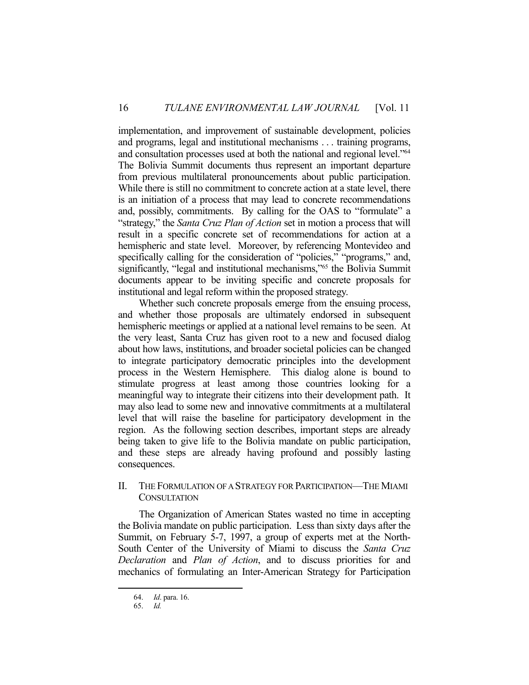implementation, and improvement of sustainable development, policies and programs, legal and institutional mechanisms . . . training programs, and consultation processes used at both the national and regional level."64 The Bolivia Summit documents thus represent an important departure from previous multilateral pronouncements about public participation. While there is still no commitment to concrete action at a state level, there is an initiation of a process that may lead to concrete recommendations and, possibly, commitments. By calling for the OAS to "formulate" a "strategy," the *Santa Cruz Plan of Action* set in motion a process that will result in a specific concrete set of recommendations for action at a hemispheric and state level. Moreover, by referencing Montevideo and specifically calling for the consideration of "policies," "programs," and, significantly, "legal and institutional mechanisms,"<sup>65</sup> the Bolivia Summit documents appear to be inviting specific and concrete proposals for institutional and legal reform within the proposed strategy.

 Whether such concrete proposals emerge from the ensuing process, and whether those proposals are ultimately endorsed in subsequent hemispheric meetings or applied at a national level remains to be seen. At the very least, Santa Cruz has given root to a new and focused dialog about how laws, institutions, and broader societal policies can be changed to integrate participatory democratic principles into the development process in the Western Hemisphere. This dialog alone is bound to stimulate progress at least among those countries looking for a meaningful way to integrate their citizens into their development path. It may also lead to some new and innovative commitments at a multilateral level that will raise the baseline for participatory development in the region. As the following section describes, important steps are already being taken to give life to the Bolivia mandate on public participation, and these steps are already having profound and possibly lasting consequences.

## II. THE FORMULATION OF A STRATEGY FOR PARTICIPATION—THE MIAMI **CONSULTATION**

 The Organization of American States wasted no time in accepting the Bolivia mandate on public participation. Less than sixty days after the Summit, on February 5-7, 1997, a group of experts met at the North-South Center of the University of Miami to discuss the *Santa Cruz Declaration* and *Plan of Action*, and to discuss priorities for and mechanics of formulating an Inter-American Strategy for Participation

 <sup>64.</sup> *Id*. para. 16.

 <sup>65.</sup> *Id.*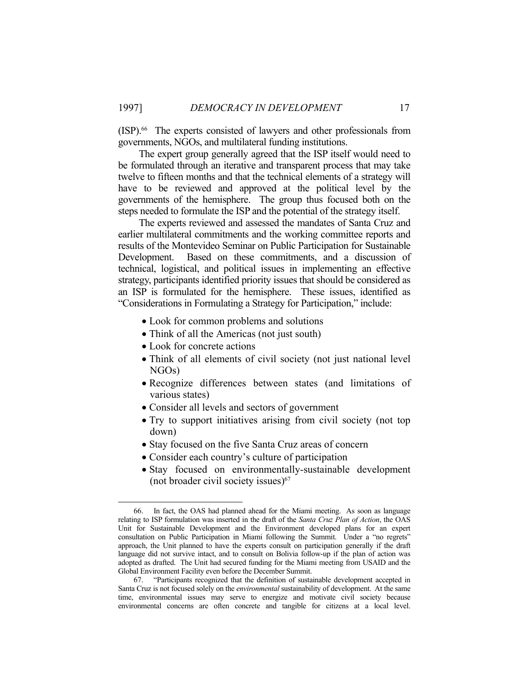(ISP).66 The experts consisted of lawyers and other professionals from governments, NGOs, and multilateral funding institutions.

 The expert group generally agreed that the ISP itself would need to be formulated through an iterative and transparent process that may take twelve to fifteen months and that the technical elements of a strategy will have to be reviewed and approved at the political level by the governments of the hemisphere. The group thus focused both on the steps needed to formulate the ISP and the potential of the strategy itself.

 The experts reviewed and assessed the mandates of Santa Cruz and earlier multilateral commitments and the working committee reports and results of the Montevideo Seminar on Public Participation for Sustainable Development. Based on these commitments, and a discussion of technical, logistical, and political issues in implementing an effective strategy, participants identified priority issues that should be considered as an ISP is formulated for the hemisphere. These issues, identified as "Considerations in Formulating a Strategy for Participation," include:

- Look for common problems and solutions
- Think of all the Americas (not just south)
- Look for concrete actions

- Think of all elements of civil society (not just national level NGOs)
- Recognize differences between states (and limitations of various states)
- Consider all levels and sectors of government
- Try to support initiatives arising from civil society (not top down)
- Stay focused on the five Santa Cruz areas of concern
- Consider each country's culture of participation
- Stay focused on environmentally-sustainable development (not broader civil society issues) $67$

 <sup>66.</sup> In fact, the OAS had planned ahead for the Miami meeting. As soon as language relating to ISP formulation was inserted in the draft of the *Santa Cruz Plan of Action*, the OAS Unit for Sustainable Development and the Environment developed plans for an expert consultation on Public Participation in Miami following the Summit. Under a "no regrets" approach, the Unit planned to have the experts consult on participation generally if the draft language did not survive intact, and to consult on Bolivia follow-up if the plan of action was adopted as drafted. The Unit had secured funding for the Miami meeting from USAID and the Global Environment Facility even before the December Summit.

 <sup>67. &</sup>quot;Participants recognized that the definition of sustainable development accepted in Santa Cruz is not focused solely on the *environmental* sustainability of development. At the same time, environmental issues may serve to energize and motivate civil society because environmental concerns are often concrete and tangible for citizens at a local level.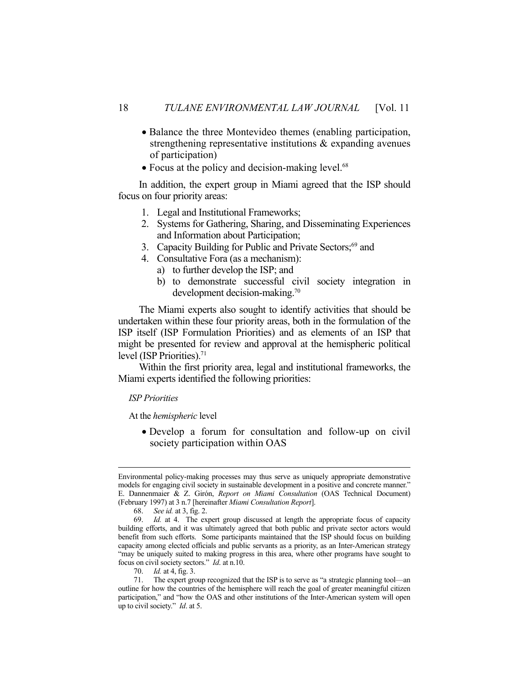- Balance the three Montevideo themes (enabling participation, strengthening representative institutions & expanding avenues of participation)
- Focus at the policy and decision-making level.<sup>68</sup>

 In addition, the expert group in Miami agreed that the ISP should focus on four priority areas:

- 1. Legal and Institutional Frameworks;
- 2. Systems for Gathering, Sharing, and Disseminating Experiences and Information about Participation;
- 3. Capacity Building for Public and Private Sectors;<sup>69</sup> and
- 4. Consultative Fora (as a mechanism):
	- a) to further develop the ISP; and
	- b) to demonstrate successful civil society integration in development decision-making.<sup>70</sup>

 The Miami experts also sought to identify activities that should be undertaken within these four priority areas, both in the formulation of the ISP itself (ISP Formulation Priorities) and as elements of an ISP that might be presented for review and approval at the hemispheric political level (ISP Priorities).<sup>71</sup>

 Within the first priority area, legal and institutional frameworks, the Miami experts identified the following priorities:

#### *ISP Priorities*

At the *hemispheric* level

 Develop a forum for consultation and follow-up on civil society participation within OAS

Environmental policy-making processes may thus serve as uniquely appropriate demonstrative models for engaging civil society in sustainable development in a positive and concrete manner." E. Dannenmaier & Z. Girón, *Report on Miami Consultation* (OAS Technical Document) (February 1997) at 3 n.7 [hereinafter *Miami Consultation Report*].

 <sup>68.</sup> *See id.* at 3, fig. 2.

 <sup>69.</sup> *Id.* at 4. The expert group discussed at length the appropriate focus of capacity building efforts, and it was ultimately agreed that both public and private sector actors would benefit from such efforts. Some participants maintained that the ISP should focus on building capacity among elected officials and public servants as a priority, as an Inter-American strategy "may be uniquely suited to making progress in this area, where other programs have sought to focus on civil society sectors." *Id*. at n.10.

 <sup>70.</sup> *Id.* at 4, fig. 3.

 <sup>71.</sup> The expert group recognized that the ISP is to serve as "a strategic planning tool—an outline for how the countries of the hemisphere will reach the goal of greater meaningful citizen participation," and "how the OAS and other institutions of the Inter-American system will open up to civil society." *Id*. at 5.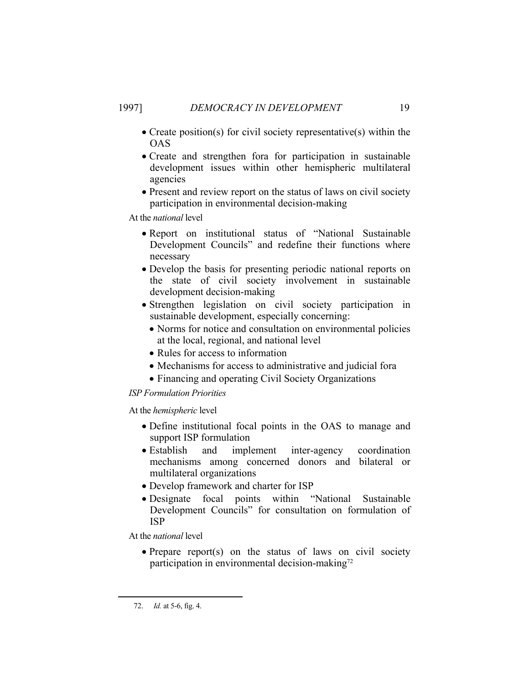- Create position(s) for civil society representative(s) within the OAS
- Create and strengthen fora for participation in sustainable development issues within other hemispheric multilateral agencies
- Present and review report on the status of laws on civil society participation in environmental decision-making

At the *national* level

- Report on institutional status of "National Sustainable Development Councils" and redefine their functions where necessary
- Develop the basis for presenting periodic national reports on the state of civil society involvement in sustainable development decision-making
- Strengthen legislation on civil society participation in sustainable development, especially concerning:
	- Norms for notice and consultation on environmental policies at the local, regional, and national level
	- Rules for access to information
	- Mechanisms for access to administrative and judicial fora
	- Financing and operating Civil Society Organizations

#### *ISP Formulation Priorities*

At the *hemispheric* level

- Define institutional focal points in the OAS to manage and support ISP formulation
- Establish and implement inter-agency coordination mechanisms among concerned donors and bilateral or multilateral organizations
- Develop framework and charter for ISP
- Designate focal points within "National Sustainable Development Councils" for consultation on formulation of ISP

At the *national* level

• Prepare report(s) on the status of laws on civil society participation in environmental decision-making $^{72}$ 

 <sup>72.</sup> *Id.* at 5-6, fig. 4.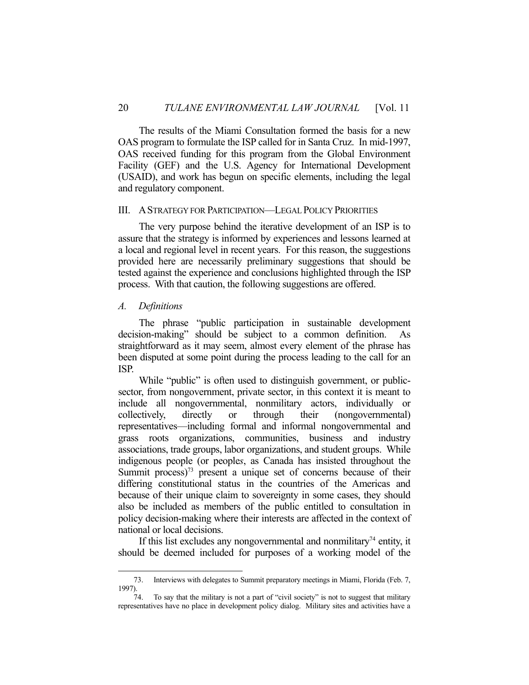The results of the Miami Consultation formed the basis for a new OAS program to formulate the ISP called for in Santa Cruz. In mid-1997, OAS received funding for this program from the Global Environment Facility (GEF) and the U.S. Agency for International Development (USAID), and work has begun on specific elements, including the legal and regulatory component.

#### III. ASTRATEGY FOR PARTICIPATION—LEGAL POLICY PRIORITIES

 The very purpose behind the iterative development of an ISP is to assure that the strategy is informed by experiences and lessons learned at a local and regional level in recent years. For this reason, the suggestions provided here are necessarily preliminary suggestions that should be tested against the experience and conclusions highlighted through the ISP process. With that caution, the following suggestions are offered.

#### *A. Definitions*

<u>.</u>

 The phrase "public participation in sustainable development decision-making" should be subject to a common definition. As straightforward as it may seem, almost every element of the phrase has been disputed at some point during the process leading to the call for an ISP.

While "public" is often used to distinguish government, or publicsector, from nongovernment, private sector, in this context it is meant to include all nongovernmental, nonmilitary actors, individually or collectively, directly or through their (nongovernmental) representatives—including formal and informal nongovernmental and grass roots organizations, communities, business and industry associations, trade groups, labor organizations, and student groups. While indigenous people (or people*s*, as Canada has insisted throughout the Summit process) $73$  present a unique set of concerns because of their differing constitutional status in the countries of the Americas and because of their unique claim to sovereignty in some cases, they should also be included as members of the public entitled to consultation in policy decision-making where their interests are affected in the context of national or local decisions.

If this list excludes any nongovernmental and nonmilitary $74$  entity, it should be deemed included for purposes of a working model of the

 <sup>73.</sup> Interviews with delegates to Summit preparatory meetings in Miami, Florida (Feb. 7, 1997).

To say that the military is not a part of "civil society" is not to suggest that military representatives have no place in development policy dialog. Military sites and activities have a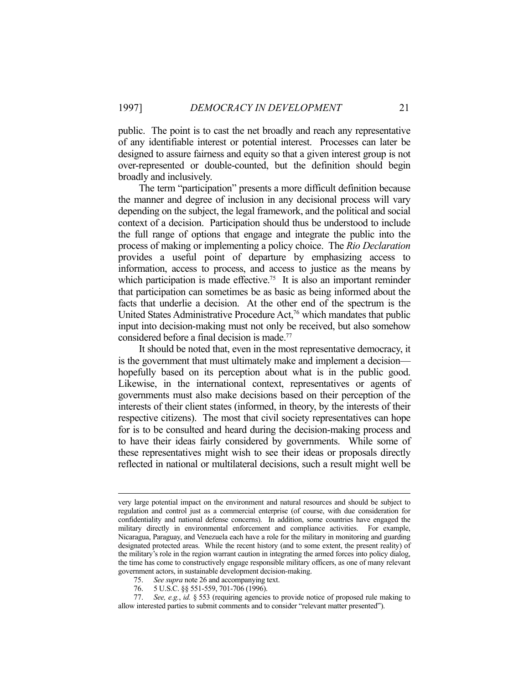public. The point is to cast the net broadly and reach any representative of any identifiable interest or potential interest. Processes can later be designed to assure fairness and equity so that a given interest group is not over-represented or double-counted, but the definition should begin broadly and inclusively.

 The term "participation" presents a more difficult definition because the manner and degree of inclusion in any decisional process will vary depending on the subject, the legal framework, and the political and social context of a decision. Participation should thus be understood to include the full range of options that engage and integrate the public into the process of making or implementing a policy choice. The *Rio Declaration* provides a useful point of departure by emphasizing access to information, access to process, and access to justice as the means by which participation is made effective.<sup>75</sup> It is also an important reminder that participation can sometimes be as basic as being informed about the facts that underlie a decision. At the other end of the spectrum is the United States Administrative Procedure Act,<sup>76</sup> which mandates that public input into decision-making must not only be received, but also somehow considered before a final decision is made.<sup>77</sup>

 It should be noted that, even in the most representative democracy, it is the government that must ultimately make and implement a decision hopefully based on its perception about what is in the public good. Likewise, in the international context, representatives or agents of governments must also make decisions based on their perception of the interests of their client states (informed, in theory, by the interests of their respective citizens). The most that civil society representatives can hope for is to be consulted and heard during the decision-making process and to have their ideas fairly considered by governments. While some of these representatives might wish to see their ideas or proposals directly reflected in national or multilateral decisions, such a result might well be

very large potential impact on the environment and natural resources and should be subject to regulation and control just as a commercial enterprise (of course, with due consideration for confidentiality and national defense concerns). In addition, some countries have engaged the military directly in environmental enforcement and compliance activities. For example, Nicaragua, Paraguay, and Venezuela each have a role for the military in monitoring and guarding designated protected areas. While the recent history (and to some extent, the present reality) of the military's role in the region warrant caution in integrating the armed forces into policy dialog, the time has come to constructively engage responsible military officers, as one of many relevant government actors, in sustainable development decision-making.

 <sup>75.</sup> *See supra* note 26 and accompanying text.

 <sup>76. 5</sup> U.S.C. §§ 551-559, 701-706 (1996).

 <sup>77.</sup> *See, e.g.*, *id.* § 553 (requiring agencies to provide notice of proposed rule making to allow interested parties to submit comments and to consider "relevant matter presented").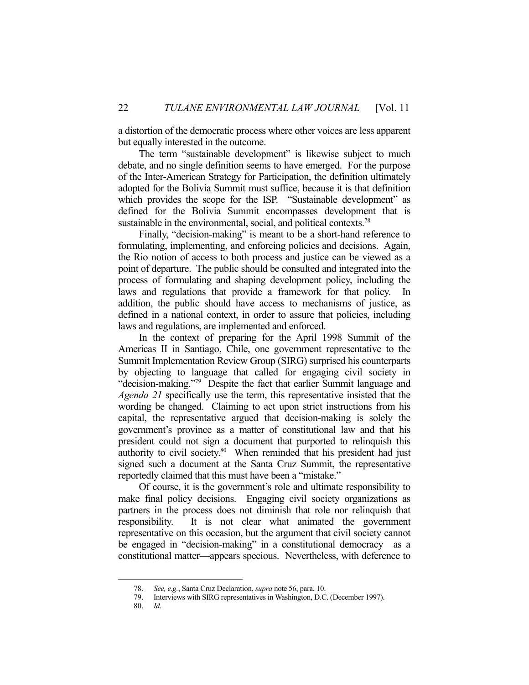a distortion of the democratic process where other voices are less apparent but equally interested in the outcome.

The term "sustainable development" is likewise subject to much debate, and no single definition seems to have emerged. For the purpose of the Inter-American Strategy for Participation, the definition ultimately adopted for the Bolivia Summit must suffice, because it is that definition which provides the scope for the ISP. "Sustainable development" as defined for the Bolivia Summit encompasses development that is sustainable in the environmental, social, and political contexts.<sup>78</sup>

Finally, "decision-making" is meant to be a short-hand reference to formulating, implementing, and enforcing policies and decisions. Again, the Rio notion of access to both process and justice can be viewed as a point of departure. The public should be consulted and integrated into the process of formulating and shaping development policy, including the laws and regulations that provide a framework for that policy. In addition, the public should have access to mechanisms of justice, as defined in a national context, in order to assure that policies, including laws and regulations, are implemented and enforced.

 In the context of preparing for the April 1998 Summit of the Americas II in Santiago, Chile, one government representative to the Summit Implementation Review Group (SIRG) surprised his counterparts by objecting to language that called for engaging civil society in "decision-making."79 Despite the fact that earlier Summit language and *Agenda 21* specifically use the term, this representative insisted that the wording be changed. Claiming to act upon strict instructions from his capital, the representative argued that decision-making is solely the government's province as a matter of constitutional law and that his president could not sign a document that purported to relinquish this authority to civil society.<sup>80</sup> When reminded that his president had just signed such a document at the Santa Cruz Summit, the representative reportedly claimed that this must have been a "mistake."

 Of course, it is the government's role and ultimate responsibility to make final policy decisions. Engaging civil society organizations as partners in the process does not diminish that role nor relinquish that responsibility. It is not clear what animated the government representative on this occasion, but the argument that civil society cannot be engaged in "decision-making" in a constitutional democracy—as a constitutional matter—appears specious. Nevertheless, with deference to

 <sup>78.</sup> *See, e.g.*, Santa Cruz Declaration, *supra* note 56, para. 10.

 <sup>79.</sup> Interviews with SIRG representatives in Washington, D.C. (December 1997).

 <sup>80.</sup> *Id*.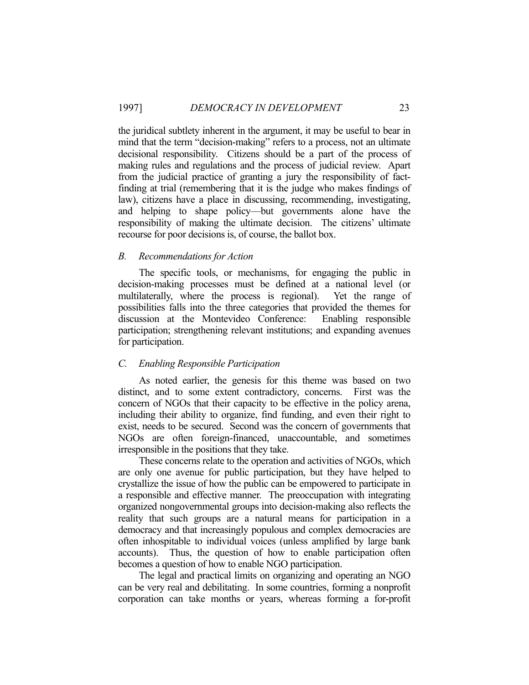the juridical subtlety inherent in the argument, it may be useful to bear in mind that the term "decision-making" refers to a process, not an ultimate decisional responsibility. Citizens should be a part of the process of making rules and regulations and the process of judicial review. Apart from the judicial practice of granting a jury the responsibility of factfinding at trial (remembering that it is the judge who makes findings of law), citizens have a place in discussing, recommending, investigating, and helping to shape policy—but governments alone have the responsibility of making the ultimate decision. The citizens' ultimate recourse for poor decisions is, of course, the ballot box.

#### *B. Recommendations for Action*

 The specific tools, or mechanisms, for engaging the public in decision-making processes must be defined at a national level (or multilaterally, where the process is regional). Yet the range of possibilities falls into the three categories that provided the themes for discussion at the Montevideo Conference: Enabling responsible participation; strengthening relevant institutions; and expanding avenues for participation.

# *C. Enabling Responsible Participation*

 As noted earlier, the genesis for this theme was based on two distinct, and to some extent contradictory, concerns. First was the concern of NGOs that their capacity to be effective in the policy arena, including their ability to organize, find funding, and even their right to exist, needs to be secured. Second was the concern of governments that NGOs are often foreign-financed, unaccountable, and sometimes irresponsible in the positions that they take.

 These concerns relate to the operation and activities of NGOs, which are only one avenue for public participation, but they have helped to crystallize the issue of how the public can be empowered to participate in a responsible and effective manner. The preoccupation with integrating organized nongovernmental groups into decision-making also reflects the reality that such groups are a natural means for participation in a democracy and that increasingly populous and complex democracies are often inhospitable to individual voices (unless amplified by large bank accounts). Thus, the question of how to enable participation often becomes a question of how to enable NGO participation.

 The legal and practical limits on organizing and operating an NGO can be very real and debilitating. In some countries, forming a nonprofit corporation can take months or years, whereas forming a for-profit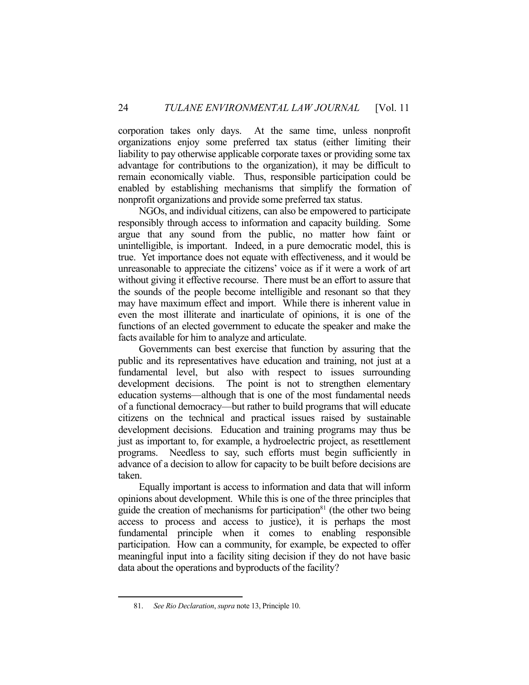corporation takes only days. At the same time, unless nonprofit organizations enjoy some preferred tax status (either limiting their liability to pay otherwise applicable corporate taxes or providing some tax advantage for contributions to the organization), it may be difficult to remain economically viable. Thus, responsible participation could be enabled by establishing mechanisms that simplify the formation of nonprofit organizations and provide some preferred tax status.

 NGOs, and individual citizens, can also be empowered to participate responsibly through access to information and capacity building. Some argue that any sound from the public, no matter how faint or unintelligible, is important. Indeed, in a pure democratic model, this is true. Yet importance does not equate with effectiveness, and it would be unreasonable to appreciate the citizens' voice as if it were a work of art without giving it effective recourse. There must be an effort to assure that the sounds of the people become intelligible and resonant so that they may have maximum effect and import. While there is inherent value in even the most illiterate and inarticulate of opinions, it is one of the functions of an elected government to educate the speaker and make the facts available for him to analyze and articulate.

 Governments can best exercise that function by assuring that the public and its representatives have education and training, not just at a fundamental level, but also with respect to issues surrounding development decisions. The point is not to strengthen elementary education systems—although that is one of the most fundamental needs of a functional democracy—but rather to build programs that will educate citizens on the technical and practical issues raised by sustainable development decisions. Education and training programs may thus be just as important to, for example, a hydroelectric project, as resettlement programs. Needless to say, such efforts must begin sufficiently in advance of a decision to allow for capacity to be built before decisions are taken.

 Equally important is access to information and data that will inform opinions about development. While this is one of the three principles that guide the creation of mechanisms for participation $81$  (the other two being access to process and access to justice), it is perhaps the most fundamental principle when it comes to enabling responsible participation. How can a community, for example, be expected to offer meaningful input into a facility siting decision if they do not have basic data about the operations and byproducts of the facility?

 <sup>81.</sup> *See Rio Declaration*, *supra* note 13, Principle 10.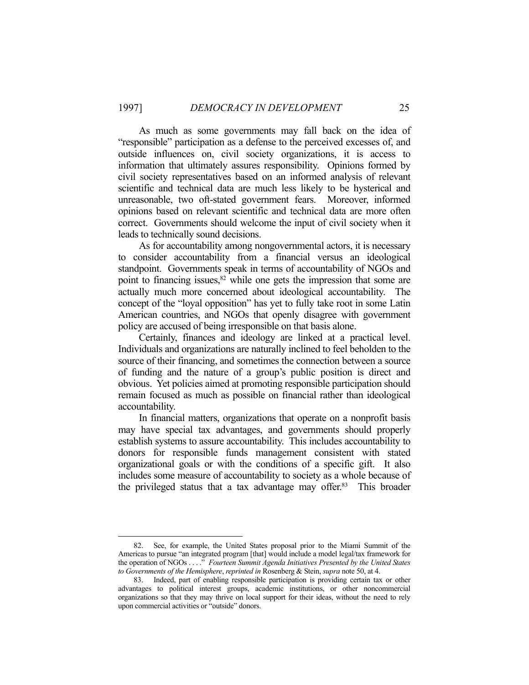As much as some governments may fall back on the idea of "responsible" participation as a defense to the perceived excesses of, and outside influences on, civil society organizations, it is access to information that ultimately assures responsibility. Opinions formed by civil society representatives based on an informed analysis of relevant scientific and technical data are much less likely to be hysterical and unreasonable, two oft-stated government fears. Moreover, informed opinions based on relevant scientific and technical data are more often correct. Governments should welcome the input of civil society when it leads to technically sound decisions.

 As for accountability among nongovernmental actors, it is necessary to consider accountability from a financial versus an ideological standpoint. Governments speak in terms of accountability of NGOs and point to financing issues, $82$  while one gets the impression that some are actually much more concerned about ideological accountability. The concept of the "loyal opposition" has yet to fully take root in some Latin American countries, and NGOs that openly disagree with government policy are accused of being irresponsible on that basis alone.

 Certainly, finances and ideology are linked at a practical level. Individuals and organizations are naturally inclined to feel beholden to the source of their financing, and sometimes the connection between a source of funding and the nature of a group's public position is direct and obvious. Yet policies aimed at promoting responsible participation should remain focused as much as possible on financial rather than ideological accountability.

 In financial matters, organizations that operate on a nonprofit basis may have special tax advantages, and governments should properly establish systems to assure accountability. This includes accountability to donors for responsible funds management consistent with stated organizational goals or with the conditions of a specific gift. It also includes some measure of accountability to society as a whole because of the privileged status that a tax advantage may offer.<sup>83</sup> This broader

 <sup>82.</sup> See, for example, the United States proposal prior to the Miami Summit of the Americas to pursue "an integrated program [that] would include a model legal/tax framework for the operation of NGOs . . . ." *Fourteen Summit Agenda Initiatives Presented by the United States to Governments of the Hemisphere*, *reprinted in* Rosenberg & Stein, *supra* note 50, at 4.

 <sup>83.</sup> Indeed, part of enabling responsible participation is providing certain tax or other advantages to political interest groups, academic institutions, or other noncommercial organizations so that they may thrive on local support for their ideas, without the need to rely upon commercial activities or "outside" donors.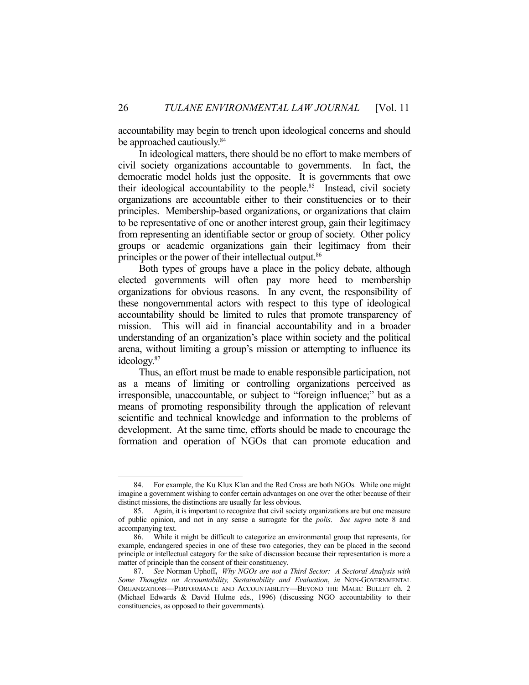accountability may begin to trench upon ideological concerns and should be approached cautiously.<sup>84</sup>

 In ideological matters, there should be no effort to make members of civil society organizations accountable to governments. In fact, the democratic model holds just the opposite. It is governments that owe their ideological accountability to the people.<sup>85</sup> Instead, civil society organizations are accountable either to their constituencies or to their principles. Membership-based organizations, or organizations that claim to be representative of one or another interest group, gain their legitimacy from representing an identifiable sector or group of society. Other policy groups or academic organizations gain their legitimacy from their principles or the power of their intellectual output.<sup>86</sup>

 Both types of groups have a place in the policy debate, although elected governments will often pay more heed to membership organizations for obvious reasons. In any event, the responsibility of these nongovernmental actors with respect to this type of ideological accountability should be limited to rules that promote transparency of mission. This will aid in financial accountability and in a broader understanding of an organization's place within society and the political arena, without limiting a group's mission or attempting to influence its ideology.87

 Thus, an effort must be made to enable responsible participation, not as a means of limiting or controlling organizations perceived as irresponsible, unaccountable, or subject to "foreign influence;" but as a means of promoting responsibility through the application of relevant scientific and technical knowledge and information to the problems of development. At the same time, efforts should be made to encourage the formation and operation of NGOs that can promote education and

 <sup>84.</sup> For example, the Ku Klux Klan and the Red Cross are both NGOs. While one might imagine a government wishing to confer certain advantages on one over the other because of their distinct missions, the distinctions are usually far less obvious.

 <sup>85.</sup> Again, it is important to recognize that civil society organizations are but one measure of public opinion, and not in any sense a surrogate for the *polis*. *See supra* note 8 and accompanying text.

 <sup>86.</sup> While it might be difficult to categorize an environmental group that represents, for example, endangered species in one of these two categories, they can be placed in the second principle or intellectual category for the sake of discussion because their representation is more a matter of principle than the consent of their constituency.

 <sup>87.</sup> *See* Norman Uphoff**,** *Why NGOs are not a Third Sector: A Sectoral Analysis with Some Thoughts on Accountability, Sustainability and Evaluation*, *in* NON-GOVERNMENTAL ORGANIZATIONS—PERFORMANCE AND ACCOUNTABILITY—BEYOND THE MAGIC BULLET ch. 2 (Michael Edwards & David Hulme eds., 1996) (discussing NGO accountability to their constituencies, as opposed to their governments).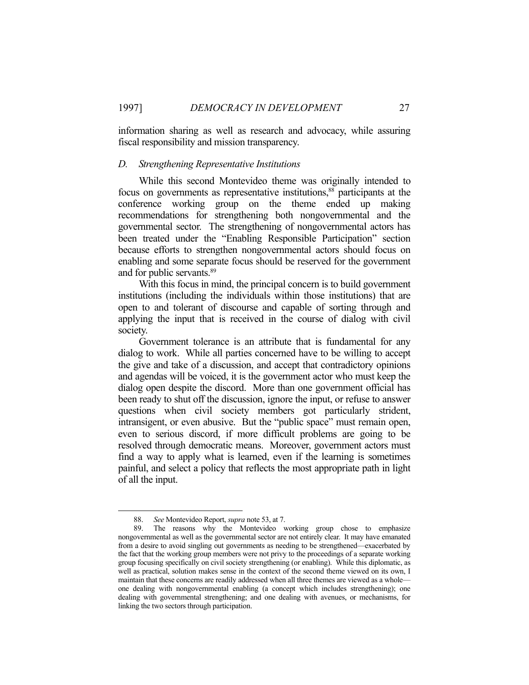information sharing as well as research and advocacy, while assuring fiscal responsibility and mission transparency.

#### *D. Strengthening Representative Institutions*

 While this second Montevideo theme was originally intended to focus on governments as representative institutions,<sup>88</sup> participants at the conference working group on the theme ended up making recommendations for strengthening both nongovernmental and the governmental sector. The strengthening of nongovernmental actors has been treated under the "Enabling Responsible Participation" section because efforts to strengthen nongovernmental actors should focus on enabling and some separate focus should be reserved for the government and for public servants.89

 With this focus in mind, the principal concern is to build government institutions (including the individuals within those institutions) that are open to and tolerant of discourse and capable of sorting through and applying the input that is received in the course of dialog with civil society.

 Government tolerance is an attribute that is fundamental for any dialog to work. While all parties concerned have to be willing to accept the give and take of a discussion, and accept that contradictory opinions and agendas will be voiced, it is the government actor who must keep the dialog open despite the discord. More than one government official has been ready to shut off the discussion, ignore the input, or refuse to answer questions when civil society members got particularly strident, intransigent, or even abusive. But the "public space" must remain open, even to serious discord, if more difficult problems are going to be resolved through democratic means. Moreover, government actors must find a way to apply what is learned, even if the learning is sometimes painful, and select a policy that reflects the most appropriate path in light of all the input.

 <sup>88.</sup> *See* Montevideo Report, *supra* note 53, at 7.

The reasons why the Montevideo working group chose to emphasize nongovernmental as well as the governmental sector are not entirely clear. It may have emanated from a desire to avoid singling out governments as needing to be strengthened—exacerbated by the fact that the working group members were not privy to the proceedings of a separate working group focusing specifically on civil society strengthening (or enabling). While this diplomatic, as well as practical, solution makes sense in the context of the second theme viewed on its own, I maintain that these concerns are readily addressed when all three themes are viewed as a whole one dealing with nongovernmental enabling (a concept which includes strengthening); one dealing with governmental strengthening; and one dealing with avenues, or mechanisms, for linking the two sectors through participation.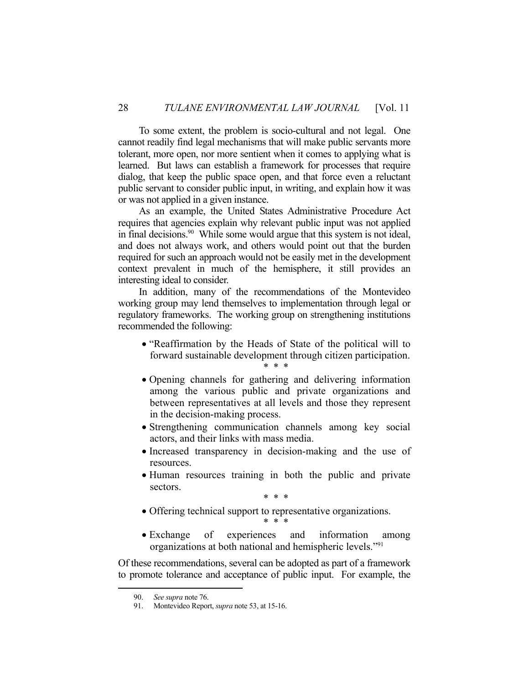To some extent, the problem is socio-cultural and not legal. One cannot readily find legal mechanisms that will make public servants more tolerant, more open, nor more sentient when it comes to applying what is learned. But laws can establish a framework for processes that require dialog, that keep the public space open, and that force even a reluctant public servant to consider public input, in writing, and explain how it was or was not applied in a given instance.

 As an example, the United States Administrative Procedure Act requires that agencies explain why relevant public input was not applied in final decisions.90 While some would argue that this system is not ideal, and does not always work, and others would point out that the burden required for such an approach would not be easily met in the development context prevalent in much of the hemisphere, it still provides an interesting ideal to consider.

 In addition, many of the recommendations of the Montevideo working group may lend themselves to implementation through legal or regulatory frameworks. The working group on strengthening institutions recommended the following:

- "Reaffirmation by the Heads of State of the political will to forward sustainable development through citizen participation. \* \* \*
- Opening channels for gathering and delivering information among the various public and private organizations and between representatives at all levels and those they represent in the decision-making process.
- Strengthening communication channels among key social actors, and their links with mass media.
- Increased transparency in decision-making and the use of resources.
- Human resources training in both the public and private sectors.

\* \* \*

- Offering technical support to representative organizations. \* \* \*
- Exchange of experiences and information among organizations at both national and hemispheric levels."91

Of these recommendations, several can be adopted as part of a framework to promote tolerance and acceptance of public input. For example, the

 <sup>90.</sup> *See supra* note 76.

 <sup>91.</sup> Montevideo Report, *supra* note 53, at 15-16.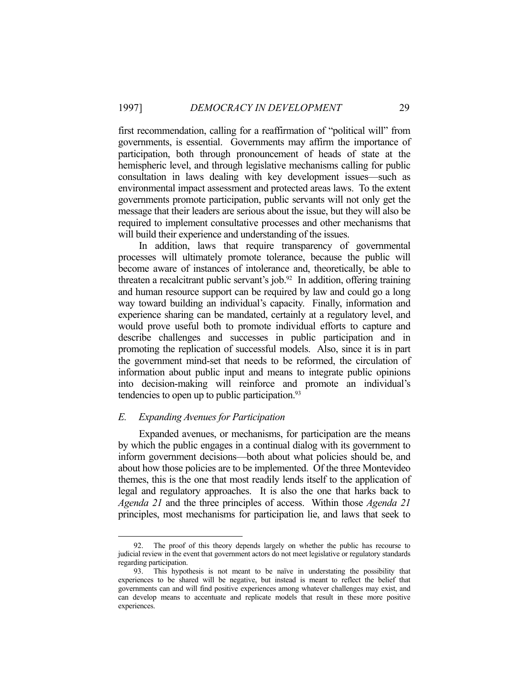first recommendation, calling for a reaffirmation of "political will" from governments, is essential. Governments may affirm the importance of participation, both through pronouncement of heads of state at the hemispheric level, and through legislative mechanisms calling for public consultation in laws dealing with key development issues—such as environmental impact assessment and protected areas laws. To the extent governments promote participation, public servants will not only get the message that their leaders are serious about the issue, but they will also be required to implement consultative processes and other mechanisms that will build their experience and understanding of the issues.

 In addition, laws that require transparency of governmental processes will ultimately promote tolerance, because the public will become aware of instances of intolerance and, theoretically, be able to threaten a recalcitrant public servant's job. $92$  In addition, offering training and human resource support can be required by law and could go a long way toward building an individual's capacity. Finally, information and experience sharing can be mandated, certainly at a regulatory level, and would prove useful both to promote individual efforts to capture and describe challenges and successes in public participation and in promoting the replication of successful models. Also, since it is in part the government mind-set that needs to be reformed, the circulation of information about public input and means to integrate public opinions into decision-making will reinforce and promote an individual's tendencies to open up to public participation.<sup>93</sup>

#### *E. Expanding Avenues for Participation*

<u>.</u>

 Expanded avenues, or mechanisms, for participation are the means by which the public engages in a continual dialog with its government to inform government decisions—both about what policies should be, and about how those policies are to be implemented. Of the three Montevideo themes, this is the one that most readily lends itself to the application of legal and regulatory approaches. It is also the one that harks back to *Agenda 21* and the three principles of access. Within those *Agenda 21* principles, most mechanisms for participation lie, and laws that seek to

 <sup>92.</sup> The proof of this theory depends largely on whether the public has recourse to judicial review in the event that government actors do not meet legislative or regulatory standards regarding participation.

 <sup>93.</sup> This hypothesis is not meant to be naïve in understating the possibility that experiences to be shared will be negative, but instead is meant to reflect the belief that governments can and will find positive experiences among whatever challenges may exist, and can develop means to accentuate and replicate models that result in these more positive experiences.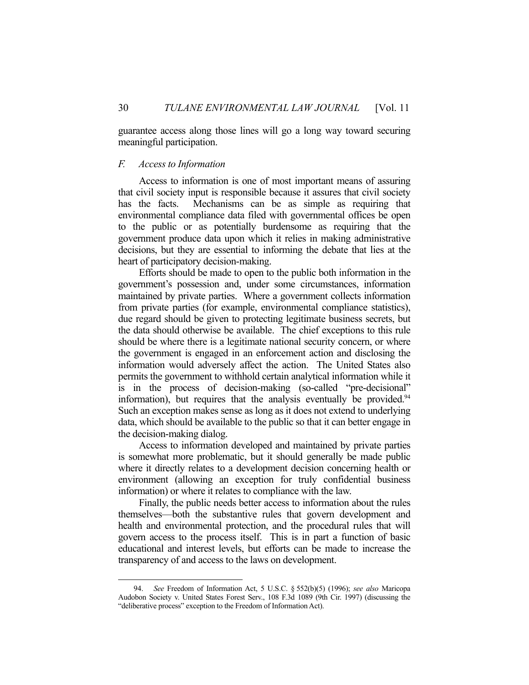guarantee access along those lines will go a long way toward securing meaningful participation.

#### *F. Access to Information*

1

 Access to information is one of most important means of assuring that civil society input is responsible because it assures that civil society has the facts. Mechanisms can be as simple as requiring that environmental compliance data filed with governmental offices be open to the public or as potentially burdensome as requiring that the government produce data upon which it relies in making administrative decisions, but they are essential to informing the debate that lies at the heart of participatory decision-making.

 Efforts should be made to open to the public both information in the government's possession and, under some circumstances, information maintained by private parties. Where a government collects information from private parties (for example, environmental compliance statistics), due regard should be given to protecting legitimate business secrets, but the data should otherwise be available. The chief exceptions to this rule should be where there is a legitimate national security concern, or where the government is engaged in an enforcement action and disclosing the information would adversely affect the action. The United States also permits the government to withhold certain analytical information while it is in the process of decision-making (so-called "pre-decisional" information), but requires that the analysis eventually be provided.<sup>94</sup> Such an exception makes sense as long as it does not extend to underlying data, which should be available to the public so that it can better engage in the decision-making dialog.

 Access to information developed and maintained by private parties is somewhat more problematic, but it should generally be made public where it directly relates to a development decision concerning health or environment (allowing an exception for truly confidential business information) or where it relates to compliance with the law.

 Finally, the public needs better access to information about the rules themselves—both the substantive rules that govern development and health and environmental protection, and the procedural rules that will govern access to the process itself. This is in part a function of basic educational and interest levels, but efforts can be made to increase the transparency of and access to the laws on development.

 <sup>94.</sup> *See* Freedom of Information Act, 5 U.S.C. § 552(b)(5) (1996); *see also* Maricopa Audobon Society v. United States Forest Serv., 108 F.3d 1089 (9th Cir. 1997) (discussing the "deliberative process" exception to the Freedom of Information Act).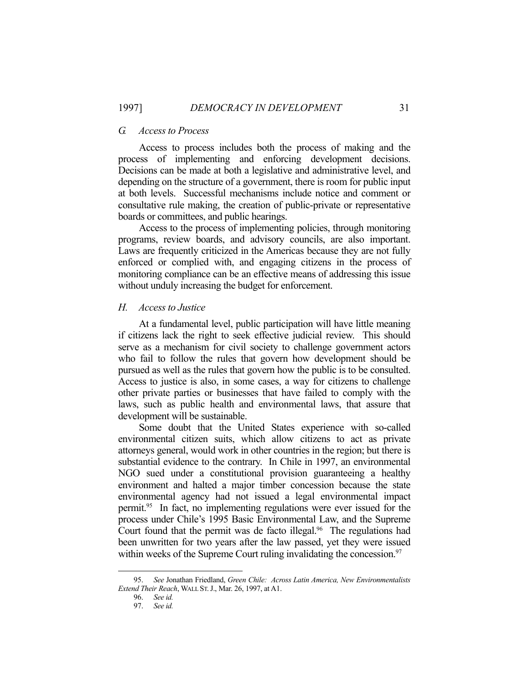#### *G. Access to Process*

Access to process includes both the process of making and the process of implementing and enforcing development decisions. Decisions can be made at both a legislative and administrative level, and depending on the structure of a government, there is room for public input at both levels. Successful mechanisms include notice and comment or consultative rule making, the creation of public-private or representative boards or committees, and public hearings.

 Access to the process of implementing policies, through monitoring programs, review boards, and advisory councils, are also important. Laws are frequently criticized in the Americas because they are not fully enforced or complied with, and engaging citizens in the process of monitoring compliance can be an effective means of addressing this issue without unduly increasing the budget for enforcement.

#### *H. Access to Justice*

At a fundamental level, public participation will have little meaning if citizens lack the right to seek effective judicial review. This should serve as a mechanism for civil society to challenge government actors who fail to follow the rules that govern how development should be pursued as well as the rules that govern how the public is to be consulted. Access to justice is also, in some cases, a way for citizens to challenge other private parties or businesses that have failed to comply with the laws, such as public health and environmental laws, that assure that development will be sustainable.

 Some doubt that the United States experience with so-called environmental citizen suits, which allow citizens to act as private attorneys general, would work in other countries in the region; but there is substantial evidence to the contrary. In Chile in 1997, an environmental NGO sued under a constitutional provision guaranteeing a healthy environment and halted a major timber concession because the state environmental agency had not issued a legal environmental impact permit.95 In fact, no implementing regulations were ever issued for the process under Chile's 1995 Basic Environmental Law, and the Supreme Court found that the permit was de facto illegal. $96$  The regulations had been unwritten for two years after the law passed, yet they were issued within weeks of the Supreme Court ruling invalidating the concession.<sup>97</sup>

 <sup>95.</sup> *See* Jonathan Friedland, *Green Chile: Across Latin America, New Environmentalists Extend Their Reach*, WALL ST.J., Mar. 26, 1997, at A1.

 <sup>96.</sup> *See id.*

 <sup>97.</sup> *See id.*